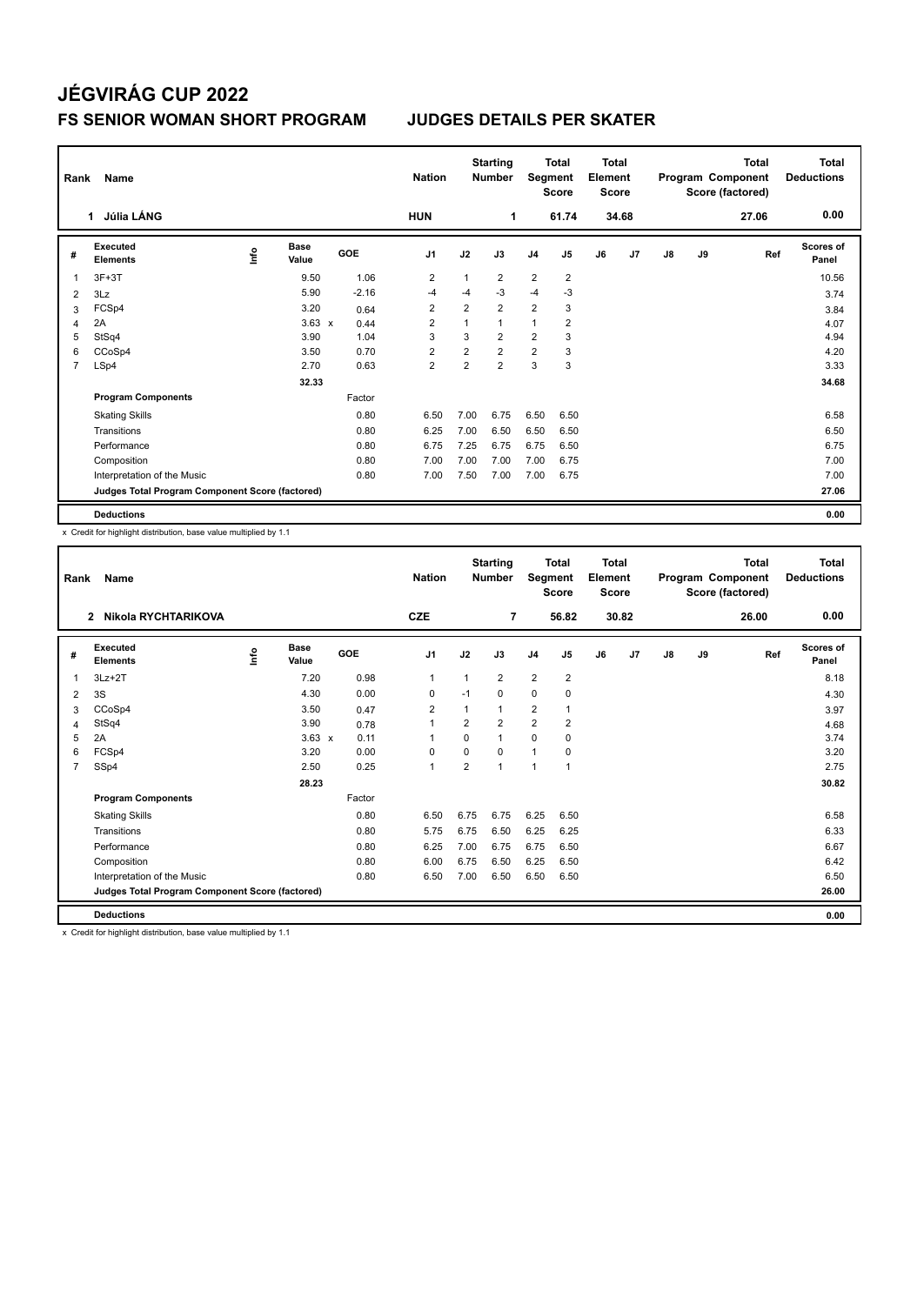# **JÉGVIRÁG CUP 2022**

#### **FS SENIOR WOMAN SHORT PROGRAM JUDGES DETAILS PER SKATER**

| Rank           | Name                                            |    |                      |            | <b>Nation</b>  |                | <b>Starting</b><br><b>Number</b> |                | Total<br>Segment<br><b>Score</b> | <b>Total</b><br>Element<br><b>Score</b> |       | Program Component |    | <b>Total</b><br>Score (factored) | <b>Total</b><br><b>Deductions</b> |
|----------------|-------------------------------------------------|----|----------------------|------------|----------------|----------------|----------------------------------|----------------|----------------------------------|-----------------------------------------|-------|-------------------|----|----------------------------------|-----------------------------------|
|                | Júlia LÁNG<br>1                                 |    |                      |            | <b>HUN</b>     |                | 1                                |                | 61.74                            |                                         | 34.68 |                   |    | 27.06                            | 0.00                              |
| #              | <b>Executed</b><br><b>Elements</b>              | ۴ů | <b>Base</b><br>Value | <b>GOE</b> | J <sub>1</sub> | J2             | J3                               | J <sub>4</sub> | J5                               | J6                                      | J7    | J8                | J9 | Ref                              | Scores of<br>Panel                |
| 1              | $3F+3T$                                         |    | 9.50                 | 1.06       | $\overline{2}$ | 1              | $\overline{2}$                   | $\overline{2}$ | $\overline{2}$                   |                                         |       |                   |    |                                  | 10.56                             |
| 2              | 3Lz                                             |    | 5.90                 | $-2.16$    | $-4$           | $-4$           | $-3$                             | $-4$           | $-3$                             |                                         |       |                   |    |                                  | 3.74                              |
| 3              | FCSp4                                           |    | 3.20                 | 0.64       | $\overline{2}$ | $\overline{2}$ | $\overline{2}$                   | $\overline{2}$ | 3                                |                                         |       |                   |    |                                  | 3.84                              |
| 4              | 2A                                              |    | $3.63 \times$        | 0.44       | $\overline{2}$ | 1              | $\mathbf{1}$                     | $\mathbf{1}$   | $\overline{2}$                   |                                         |       |                   |    |                                  | 4.07                              |
| 5              | StSq4                                           |    | 3.90                 | 1.04       | 3              | 3              | $\overline{2}$                   | $\overline{2}$ | 3                                |                                         |       |                   |    |                                  | 4.94                              |
| 6              | CCoSp4                                          |    | 3.50                 | 0.70       | 2              | $\overline{2}$ | $\overline{2}$                   | $\overline{2}$ | 3                                |                                         |       |                   |    |                                  | 4.20                              |
| $\overline{7}$ | LSp4                                            |    | 2.70                 | 0.63       | $\overline{2}$ | $\overline{2}$ | $\overline{2}$                   | 3              | 3                                |                                         |       |                   |    |                                  | 3.33                              |
|                |                                                 |    | 32.33                |            |                |                |                                  |                |                                  |                                         |       |                   |    |                                  | 34.68                             |
|                | <b>Program Components</b>                       |    |                      | Factor     |                |                |                                  |                |                                  |                                         |       |                   |    |                                  |                                   |
|                | <b>Skating Skills</b>                           |    |                      | 0.80       | 6.50           | 7.00           | 6.75                             | 6.50           | 6.50                             |                                         |       |                   |    |                                  | 6.58                              |
|                | Transitions                                     |    |                      | 0.80       | 6.25           | 7.00           | 6.50                             | 6.50           | 6.50                             |                                         |       |                   |    |                                  | 6.50                              |
|                | Performance                                     |    |                      | 0.80       | 6.75           | 7.25           | 6.75                             | 6.75           | 6.50                             |                                         |       |                   |    |                                  | 6.75                              |
|                | Composition                                     |    |                      | 0.80       | 7.00           | 7.00           | 7.00                             | 7.00           | 6.75                             |                                         |       |                   |    |                                  | 7.00                              |
|                | Interpretation of the Music                     |    |                      | 0.80       | 7.00           | 7.50           | 7.00                             | 7.00           | 6.75                             |                                         |       |                   |    |                                  | 7.00                              |
|                | Judges Total Program Component Score (factored) |    |                      |            |                |                |                                  |                |                                  |                                         |       |                   |    |                                  | 27.06                             |
|                | <b>Deductions</b>                               |    |                      |            |                |                |                                  |                |                                  |                                         |       |                   |    |                                  | 0.00                              |

x Credit for highlight distribution, base value multiplied by 1.1

| Rank           | Name                                            |             |                      |        | <b>Starting</b><br><b>Nation</b><br><b>Number</b> |                | <b>Total</b><br>Segment<br><b>Score</b> |                | <b>Total</b><br>Element<br><b>Score</b> |    |       |    | <b>Total</b><br>Program Component<br>Score (factored) | <b>Total</b><br><b>Deductions</b> |                    |
|----------------|-------------------------------------------------|-------------|----------------------|--------|---------------------------------------------------|----------------|-----------------------------------------|----------------|-----------------------------------------|----|-------|----|-------------------------------------------------------|-----------------------------------|--------------------|
|                | Nikola RYCHTARIKOVA<br>$\mathbf{2}$             |             |                      |        | <b>CZE</b>                                        |                | 7                                       |                | 56.82                                   |    | 30.82 |    |                                                       | 26.00                             | 0.00               |
| #              | Executed<br><b>Elements</b>                     | <u>info</u> | <b>Base</b><br>Value | GOE    | J <sub>1</sub>                                    | J2             | J3                                      | J <sub>4</sub> | J <sub>5</sub>                          | J6 | J7    | J8 | J9                                                    | Ref                               | Scores of<br>Panel |
| 1              | $3Lz + 2T$                                      |             | 7.20                 | 0.98   | $\mathbf{1}$                                      | 1              | $\overline{2}$                          | $\overline{2}$ | 2                                       |    |       |    |                                                       |                                   | 8.18               |
| 2              | 3S                                              |             | 4.30                 | 0.00   | 0                                                 | $-1$           | 0                                       | $\mathbf 0$    | 0                                       |    |       |    |                                                       |                                   | 4.30               |
| 3              | CCoSp4                                          |             | 3.50                 | 0.47   | $\overline{2}$                                    | 1              | 1                                       | $\overline{2}$ | 1                                       |    |       |    |                                                       |                                   | 3.97               |
| 4              | StSq4                                           |             | 3.90                 | 0.78   | $\mathbf{1}$                                      | 2              | $\overline{2}$                          | $\overline{2}$ | 2                                       |    |       |    |                                                       |                                   | 4.68               |
| 5              | 2A                                              |             | $3.63 \times$        | 0.11   | 1                                                 | $\Omega$       | 1                                       | $\Omega$       | $\Omega$                                |    |       |    |                                                       |                                   | 3.74               |
| 6              | FCSp4                                           |             | 3.20                 | 0.00   | 0                                                 | $\Omega$       | 0                                       | $\mathbf{1}$   | $\Omega$                                |    |       |    |                                                       |                                   | 3.20               |
| $\overline{7}$ | SSp4                                            |             | 2.50                 | 0.25   | $\mathbf{1}$                                      | $\overline{2}$ | 1                                       | $\overline{1}$ | 1                                       |    |       |    |                                                       |                                   | 2.75               |
|                |                                                 |             | 28.23                |        |                                                   |                |                                         |                |                                         |    |       |    |                                                       |                                   | 30.82              |
|                | <b>Program Components</b>                       |             |                      | Factor |                                                   |                |                                         |                |                                         |    |       |    |                                                       |                                   |                    |
|                | <b>Skating Skills</b>                           |             |                      | 0.80   | 6.50                                              | 6.75           | 6.75                                    | 6.25           | 6.50                                    |    |       |    |                                                       |                                   | 6.58               |
|                | Transitions                                     |             |                      | 0.80   | 5.75                                              | 6.75           | 6.50                                    | 6.25           | 6.25                                    |    |       |    |                                                       |                                   | 6.33               |
|                | Performance                                     |             |                      | 0.80   | 6.25                                              | 7.00           | 6.75                                    | 6.75           | 6.50                                    |    |       |    |                                                       |                                   | 6.67               |
|                | Composition                                     |             |                      | 0.80   | 6.00                                              | 6.75           | 6.50                                    | 6.25           | 6.50                                    |    |       |    |                                                       |                                   | 6.42               |
|                | Interpretation of the Music                     |             |                      | 0.80   | 6.50                                              | 7.00           | 6.50                                    | 6.50           | 6.50                                    |    |       |    |                                                       |                                   | 6.50               |
|                | Judges Total Program Component Score (factored) |             |                      |        |                                                   |                |                                         |                |                                         |    |       |    |                                                       |                                   | 26.00              |
|                | <b>Deductions</b>                               |             |                      |        |                                                   |                |                                         |                |                                         |    |       |    |                                                       |                                   | 0.00               |

x Credit for highlight distribution, base value multiplied by 1.1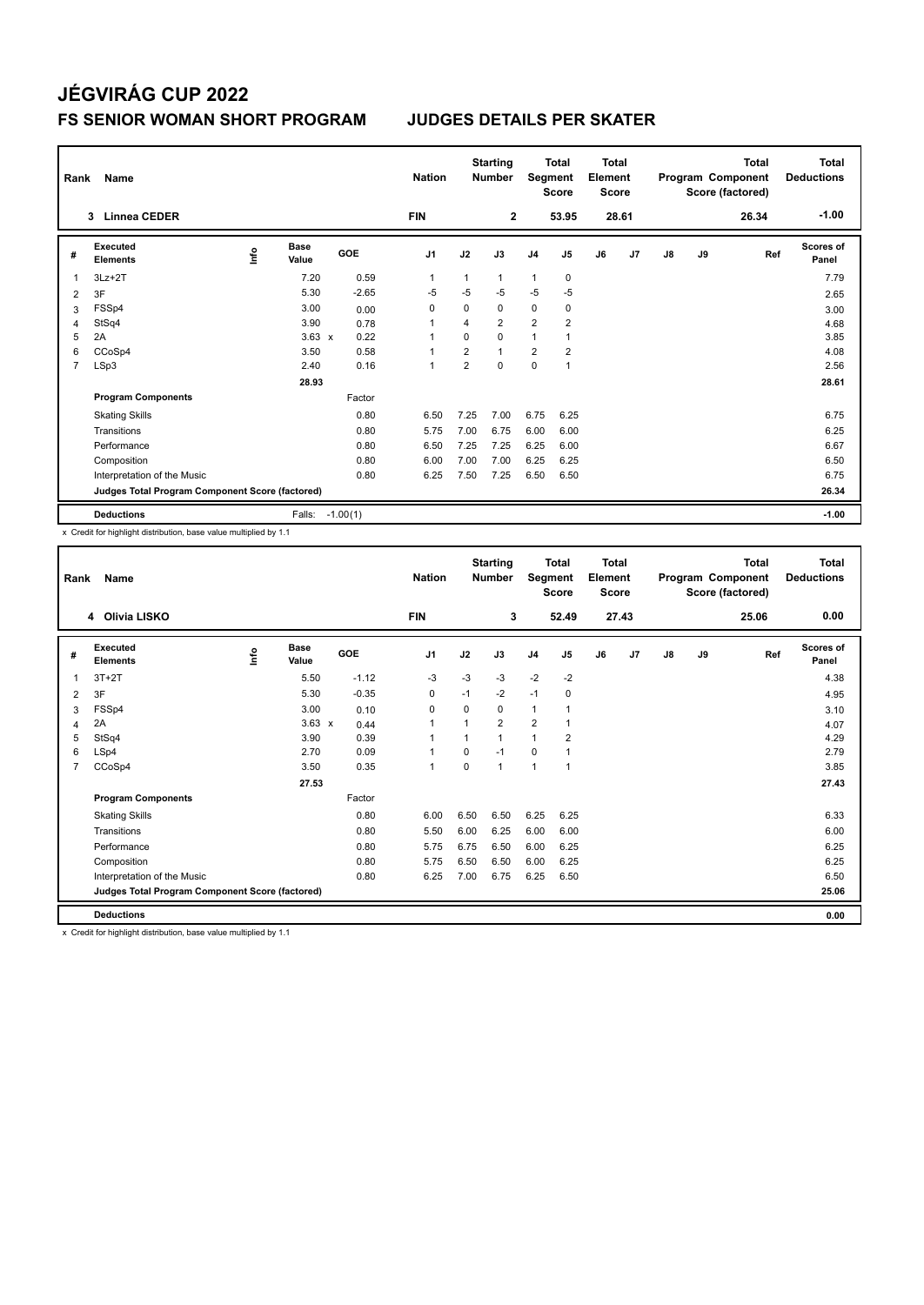## **JÉGVIRÁG CUP 2022**

#### **FS SENIOR WOMAN SHORT PROGRAM JUDGES DETAILS PER SKATER**

| Rank           | Name                                            |      |                      |                 | <b>Nation</b>  |                | <b>Starting</b><br><b>Number</b> |                | <b>Total</b><br>Segment<br><b>Score</b> |    | <b>Total</b><br>Element<br><b>Score</b> |               |    | <b>Total</b><br>Program Component<br>Score (factored) | Total<br><b>Deductions</b> |
|----------------|-------------------------------------------------|------|----------------------|-----------------|----------------|----------------|----------------------------------|----------------|-----------------------------------------|----|-----------------------------------------|---------------|----|-------------------------------------------------------|----------------------------|
|                | <b>Linnea CEDER</b><br>3                        |      |                      |                 | <b>FIN</b>     |                | $\mathbf{2}$                     |                | 53.95                                   |    | 28.61                                   |               |    | 26.34                                                 | $-1.00$                    |
| #              | Executed<br><b>Elements</b>                     | lnfo | <b>Base</b><br>Value | GOE             | J <sub>1</sub> | J2             | J3                               | J <sub>4</sub> | J <sub>5</sub>                          | J6 | J7                                      | $\mathsf{J}8$ | J9 | Ref                                                   | Scores of<br>Panel         |
| 1              | $3Lz + 2T$                                      |      | 7.20                 | 0.59            | 1              | 1              | $\mathbf{1}$                     | 1              | 0                                       |    |                                         |               |    |                                                       | 7.79                       |
| 2              | 3F                                              |      | 5.30                 | $-2.65$         | $-5$           | $-5$           | $-5$                             | $-5$           | $-5$                                    |    |                                         |               |    |                                                       | 2.65                       |
| 3              | FSSp4                                           |      | 3.00                 | 0.00            | 0              | $\Omega$       | $\Omega$                         | 0              | 0                                       |    |                                         |               |    |                                                       | 3.00                       |
| 4              | StSq4                                           |      | 3.90                 | 0.78            | 1              | 4              | $\overline{2}$                   | $\overline{2}$ | $\overline{2}$                          |    |                                         |               |    |                                                       | 4.68                       |
| 5              | 2A                                              |      | $3.63 \times$        | 0.22            | 1              | 0              | $\Omega$                         | $\mathbf{1}$   | 1                                       |    |                                         |               |    |                                                       | 3.85                       |
| 6              | CCoSp4                                          |      | 3.50                 | 0.58            | 1              | 2              | $\mathbf{1}$                     | $\overline{2}$ | $\overline{2}$                          |    |                                         |               |    |                                                       | 4.08                       |
| $\overline{7}$ | LSp3                                            |      | 2.40                 | 0.16            | 1              | $\overline{2}$ | $\mathbf 0$                      | $\mathbf 0$    | $\overline{1}$                          |    |                                         |               |    |                                                       | 2.56                       |
|                |                                                 |      | 28.93                |                 |                |                |                                  |                |                                         |    |                                         |               |    |                                                       | 28.61                      |
|                | <b>Program Components</b>                       |      |                      | Factor          |                |                |                                  |                |                                         |    |                                         |               |    |                                                       |                            |
|                | <b>Skating Skills</b>                           |      |                      | 0.80            | 6.50           | 7.25           | 7.00                             | 6.75           | 6.25                                    |    |                                         |               |    |                                                       | 6.75                       |
|                | Transitions                                     |      |                      | 0.80            | 5.75           | 7.00           | 6.75                             | 6.00           | 6.00                                    |    |                                         |               |    |                                                       | 6.25                       |
|                | Performance                                     |      |                      | 0.80            | 6.50           | 7.25           | 7.25                             | 6.25           | 6.00                                    |    |                                         |               |    |                                                       | 6.67                       |
|                | Composition                                     |      |                      | 0.80            | 6.00           | 7.00           | 7.00                             | 6.25           | 6.25                                    |    |                                         |               |    |                                                       | 6.50                       |
|                | Interpretation of the Music                     |      |                      | 0.80            | 6.25           | 7.50           | 7.25                             | 6.50           | 6.50                                    |    |                                         |               |    |                                                       | 6.75                       |
|                | Judges Total Program Component Score (factored) |      |                      |                 |                |                |                                  |                |                                         |    |                                         |               |    |                                                       | 26.34                      |
|                | <b>Deductions</b>                               |      |                      | Falls: -1.00(1) |                |                |                                  |                |                                         |    |                                         |               |    |                                                       | $-1.00$                    |

x Credit for highlight distribution, base value multiplied by 1.1

| Rank           | Name                                            |      |                      |            | <b>Nation</b>  |              | <b>Starting</b><br><b>Number</b> | Segment        | <b>Total</b><br><b>Score</b> | <b>Total</b><br>Element<br><b>Score</b> |       |               |    | <b>Total</b><br>Program Component<br>Score (factored) | <b>Total</b><br><b>Deductions</b> |
|----------------|-------------------------------------------------|------|----------------------|------------|----------------|--------------|----------------------------------|----------------|------------------------------|-----------------------------------------|-------|---------------|----|-------------------------------------------------------|-----------------------------------|
|                | <b>Olivia LISKO</b><br>4                        |      |                      |            | <b>FIN</b>     |              | 3                                |                | 52.49                        |                                         | 27.43 |               |    | 25.06                                                 | 0.00                              |
| #              | Executed<br><b>Elements</b>                     | Info | <b>Base</b><br>Value | <b>GOE</b> | J <sub>1</sub> | J2           | J3                               | J <sub>4</sub> | J5                           | J6                                      | J7    | $\mathsf{J}8$ | J9 | Ref                                                   | <b>Scores of</b><br>Panel         |
| 1              | $3T+2T$                                         |      | 5.50                 | $-1.12$    | $-3$           | $-3$         | $-3$                             | $-2$           | $-2$                         |                                         |       |               |    |                                                       | 4.38                              |
| $\overline{2}$ | 3F                                              |      | 5.30                 | $-0.35$    | 0              | $-1$         | $-2$                             | $-1$           | 0                            |                                         |       |               |    |                                                       | 4.95                              |
| 3              | FSSp4                                           |      | 3.00                 | 0.10       | 0              | 0            | 0                                | $\mathbf{1}$   |                              |                                         |       |               |    |                                                       | 3.10                              |
| 4              | 2A                                              |      | $3.63 \times$        | 0.44       | 1              | 1            | $\overline{2}$                   | $\overline{2}$ |                              |                                         |       |               |    |                                                       | 4.07                              |
| 5              | StSq4                                           |      | 3.90                 | 0.39       | 1              | $\mathbf{1}$ |                                  | $\mathbf{1}$   | $\overline{2}$               |                                         |       |               |    |                                                       | 4.29                              |
| 6              | LSp4                                            |      | 2.70                 | 0.09       | 1              | $\Omega$     | $-1$                             | $\Omega$       |                              |                                         |       |               |    |                                                       | 2.79                              |
| $\overline{7}$ | CCoSp4                                          |      | 3.50                 | 0.35       | 1              | $\Omega$     | 1                                | $\mathbf{1}$   | 1                            |                                         |       |               |    |                                                       | 3.85                              |
|                |                                                 |      | 27.53                |            |                |              |                                  |                |                              |                                         |       |               |    |                                                       | 27.43                             |
|                | <b>Program Components</b>                       |      |                      | Factor     |                |              |                                  |                |                              |                                         |       |               |    |                                                       |                                   |
|                | <b>Skating Skills</b>                           |      |                      | 0.80       | 6.00           | 6.50         | 6.50                             | 6.25           | 6.25                         |                                         |       |               |    |                                                       | 6.33                              |
|                | Transitions                                     |      |                      | 0.80       | 5.50           | 6.00         | 6.25                             | 6.00           | 6.00                         |                                         |       |               |    |                                                       | 6.00                              |
|                | Performance                                     |      |                      | 0.80       | 5.75           | 6.75         | 6.50                             | 6.00           | 6.25                         |                                         |       |               |    |                                                       | 6.25                              |
|                | Composition                                     |      |                      | 0.80       | 5.75           | 6.50         | 6.50                             | 6.00           | 6.25                         |                                         |       |               |    |                                                       | 6.25                              |
|                | Interpretation of the Music                     |      |                      | 0.80       | 6.25           | 7.00         | 6.75                             | 6.25           | 6.50                         |                                         |       |               |    |                                                       | 6.50                              |
|                | Judges Total Program Component Score (factored) |      |                      |            |                |              |                                  |                |                              |                                         |       |               |    |                                                       | 25.06                             |
|                | <b>Deductions</b>                               |      |                      |            |                |              |                                  |                |                              |                                         |       |               |    |                                                       | 0.00                              |

x Credit for highlight distribution, base value multiplied by 1.1